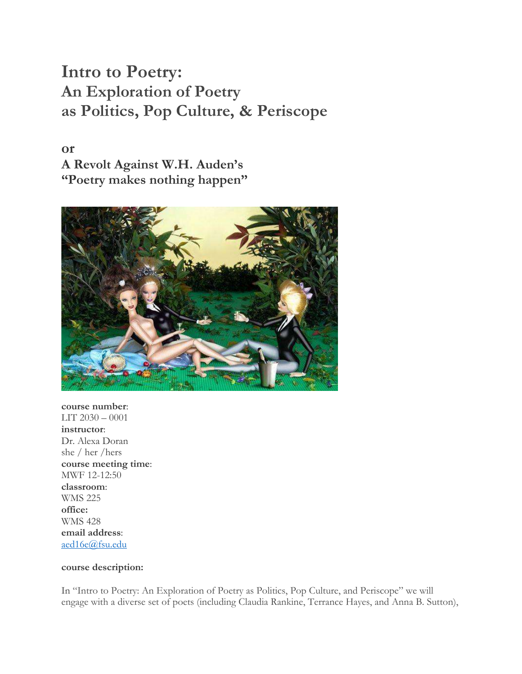# **Intro to Poetry: An Exploration of Poetry as Politics, Pop Culture, & Periscope**

**or A Revolt Against W.H. Auden's "Poetry makes nothing happen"**



**course number**: LIT 2030 – 0001 **instructor**: Dr. Alexa Doran she / her /hers **course meeting time**: MWF 12-12:50 **classroom**: WMS 225 **office:** WMS 428 **email address**: [aed16e@fsu.edu](mailto:aed16e@fsu.edu)

#### **course description:**

In "Intro to Poetry: An Exploration of Poetry as Politics, Pop Culture, and Periscope" we will engage with a diverse set of poets (including Claudia Rankine, Terrance Hayes, and Anna B. Sutton),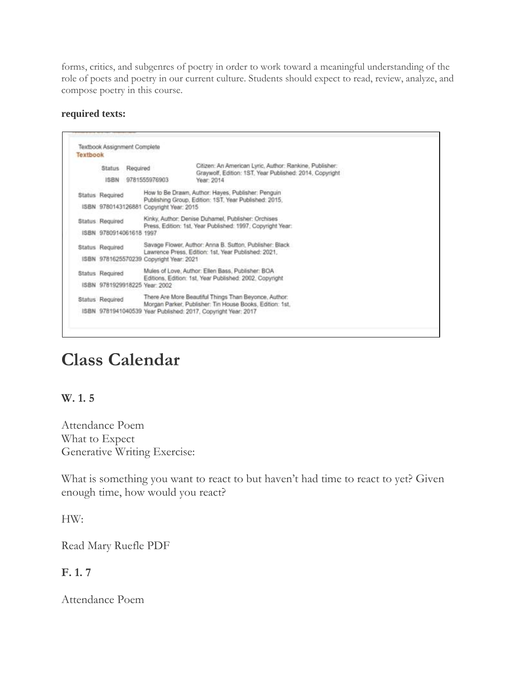forms, critics, and subgenres of poetry in order to work toward a meaningful understanding of the role of poets and poetry in our current culture. Students should expect to read, review, analyze, and compose poetry in this course.

#### **required texts:**

|  | <b>Status</b><br>Required |  |                                                                                                                                                        | Citizen: An American Lyric, Author: Rankine, Publisher:<br>Graywolf, Edition: 1ST, Year Published: 2014, Copyright |  |
|--|---------------------------|--|--------------------------------------------------------------------------------------------------------------------------------------------------------|--------------------------------------------------------------------------------------------------------------------|--|
|  | <b>ISBN</b>               |  | 9781555976903                                                                                                                                          | Year: 2014                                                                                                         |  |
|  | Status Required           |  | How to Be Drawn, Author: Hayes, Publisher: Penguin<br>Publishing Group, Edition: 1ST, Year Published: 2015,<br>ISBN 9780143126881 Copyright Year: 2015 |                                                                                                                    |  |
|  |                           |  |                                                                                                                                                        |                                                                                                                    |  |
|  | Status Required           |  | Kinky, Author: Denise Duhamel, Publisher: Orchises                                                                                                     |                                                                                                                    |  |
|  | ISBN 9780914061618 1997   |  | Press, Edition: 1st, Year Published: 1997, Copyright Year.                                                                                             |                                                                                                                    |  |
|  | Status Required           |  | Savage Flower, Author: Anna B. Sutton, Publisher: Black.                                                                                               |                                                                                                                    |  |
|  |                           |  | Lawrence Press, Edition: 1st, Year Published: 2021,<br>ISBN 9781625570239 Copyright Year: 2021                                                         |                                                                                                                    |  |
|  | Status Required           |  |                                                                                                                                                        | Mules of Love, Author: Ellen Bass, Publisher: BOA<br>Editions, Edition: 1st, Year Published: 2002, Copyright       |  |
|  |                           |  | ISBN 9781929918225 Year 2002                                                                                                                           |                                                                                                                    |  |
|  | Status Required           |  |                                                                                                                                                        | There Are More Beautiful Things Than Beyonce, Author:                                                              |  |
|  |                           |  | Morgan Parker, Publisher: Tin House Books, Edition: 1st.<br>ISBN 9781941040539 Year Published: 2017, Copyright Year: 2017                              |                                                                                                                    |  |

# **Class Calendar**

#### **W. 1. 5**

Attendance Poem What to Expect Generative Writing Exercise:

What is something you want to react to but haven't had time to react to yet? Given enough time, how would you react?

HW:

Read Mary Ruefle PDF

#### **F. 1. 7**

Attendance Poem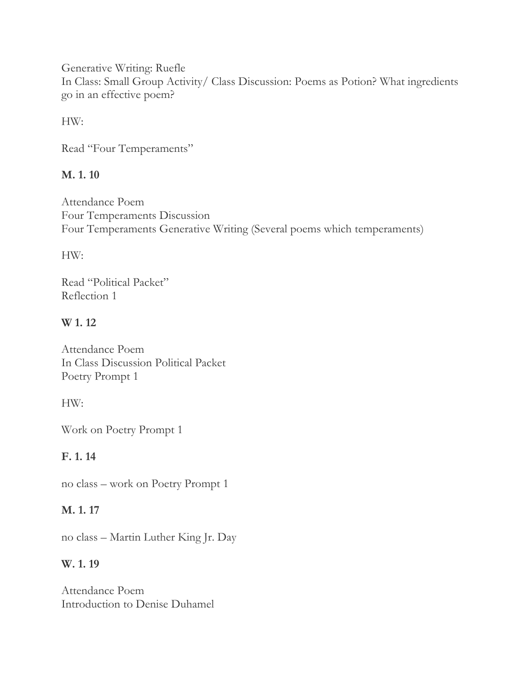Generative Writing: Ruefle In Class: Small Group Activity/ Class Discussion: Poems as Potion? What ingredients go in an effective poem?

HW:

Read "Four Temperaments"

# **M. 1. 10**

Attendance Poem Four Temperaments Discussion Four Temperaments Generative Writing (Several poems which temperaments)

HW:

Read "Political Packet" Reflection 1

# **W 1. 12**

Attendance Poem In Class Discussion Political Packet Poetry Prompt 1

HW:

Work on Poetry Prompt 1

**F. 1. 14**

no class – work on Poetry Prompt 1

# **M. 1. 17**

no class – Martin Luther King Jr. Day

# **W. 1. 19**

Attendance Poem Introduction to Denise Duhamel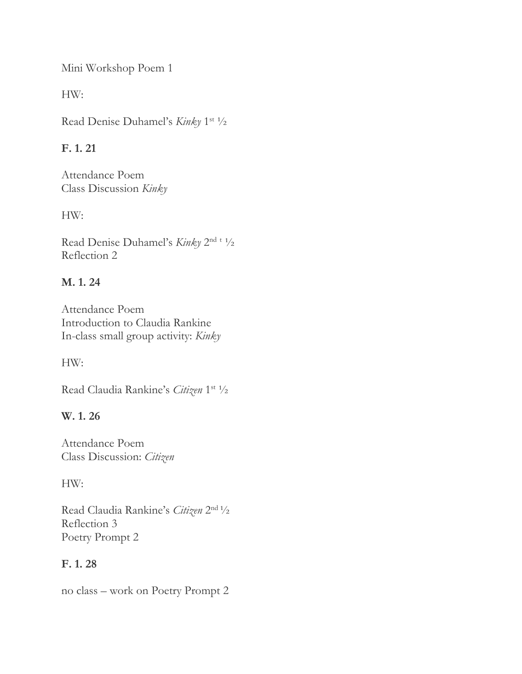Mini Workshop Poem 1

HW:

Read Denise Duhamel's Kinky 1<sup>st 1</sup>/2

# **F. 1. 21**

Attendance Poem Class Discussion *Kinky*

HW:

Read Denise Duhamel's *Kinky* 2<sup>nd t 1</sup>/2 Reflection 2

# **M. 1. 24**

Attendance Poem Introduction to Claudia Rankine In-class small group activity: *Kinky*

HW:

Read Claudia Rankine's *Citizen* 1 st ½

# **W. 1. 26**

Attendance Poem Class Discussion: *Citizen*

HW:

Read Claudia Rankine's *Citizen* 2 nd ½ Reflection 3 Poetry Prompt 2

# **F. 1. 28**

no class – work on Poetry Prompt 2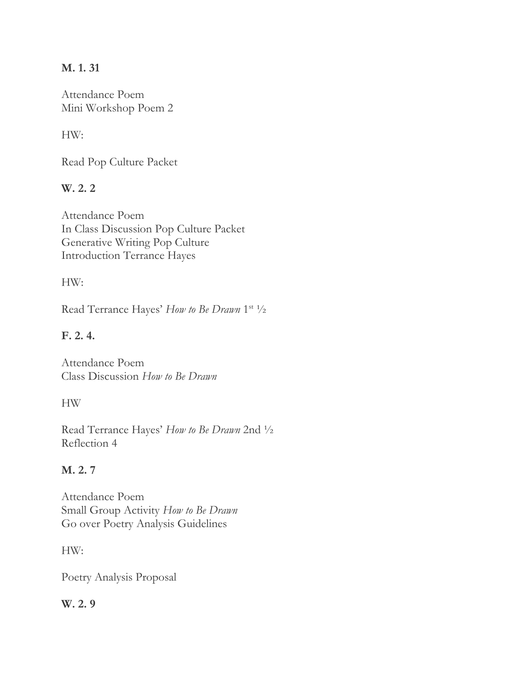### **M. 1. 31**

Attendance Poem Mini Workshop Poem 2

### HW:

Read Pop Culture Packet

# **W. 2. 2**

Attendance Poem In Class Discussion Pop Culture Packet Generative Writing Pop Culture Introduction Terrance Hayes

#### HW:

Read Terrance Hayes' How to Be Drawn 1<sup>st 1</sup>/2

# **F. 2. 4.**

Attendance Poem Class Discussion *How to Be Drawn*

#### HW

Read Terrance Hayes' *How to Be Drawn* 2nd ½ Reflection 4

#### **M. 2. 7**

Attendance Poem Small Group Activity *How to Be Drawn* Go over Poetry Analysis Guidelines

HW:

Poetry Analysis Proposal

#### **W. 2. 9**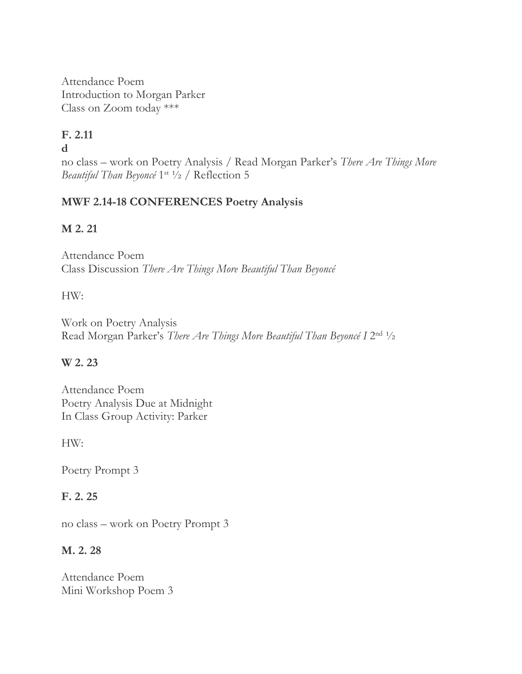Attendance Poem Introduction to Morgan Parker Class on Zoom today \*\*\*

# **F. 2.11**

#### **d**

no class – work on Poetry Analysis / Read Morgan Parker's *There Are Things More*  Beautiful Than Beyoncé 1<sup>st 1</sup>/2 / Reflection 5

# **MWF 2.14-18 CONFERENCES Poetry Analysis**

# **M 2. 21**

Attendance Poem Class Discussion *There Are Things More Beautiful Than Beyoncé*

# HW:

Work on Poetry Analysis Read Morgan Parker's *There Are Things More Beautiful Than Beyoncé* I 2<sup>nd 1</sup>/2

# **W 2. 23**

Attendance Poem Poetry Analysis Due at Midnight In Class Group Activity: Parker

HW:

Poetry Prompt 3

# **F. 2. 25**

no class – work on Poetry Prompt 3

# **M. 2. 28**

Attendance Poem Mini Workshop Poem 3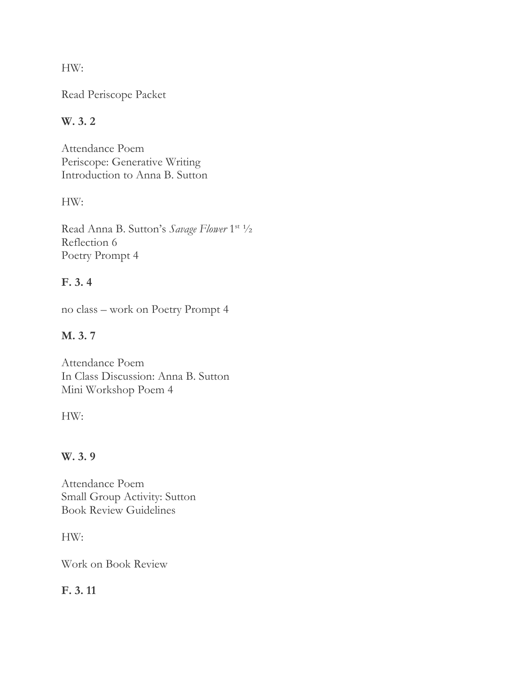HW:

Read Periscope Packet

# **W. 3. 2**

Attendance Poem Periscope: Generative Writing Introduction to Anna B. Sutton

# HW:

Read Anna B. Sutton's Savage Flower 1st 1/2 Reflection 6 Poetry Prompt 4

# **F. 3. 4**

no class – work on Poetry Prompt 4

# **M. 3. 7**

Attendance Poem In Class Discussion: Anna B. Sutton Mini Workshop Poem 4

HW:

# **W. 3. 9**

Attendance Poem Small Group Activity: Sutton Book Review Guidelines

HW:

Work on Book Review

# **F. 3. 11**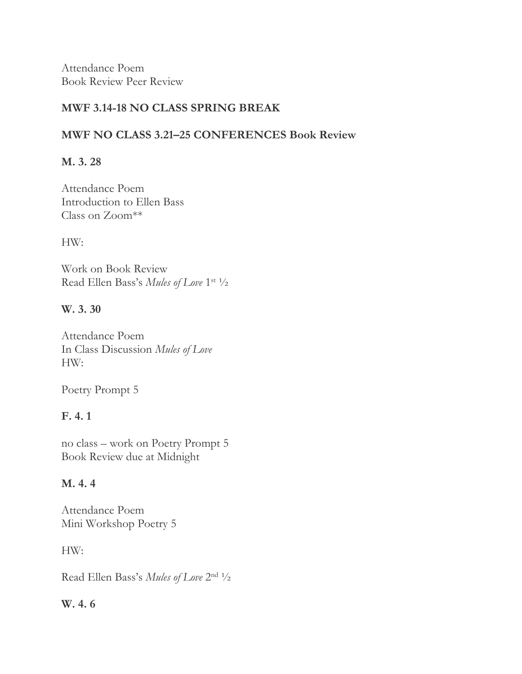Attendance Poem Book Review Peer Review

#### **MWF 3.14-18 NO CLASS SPRING BREAK**

### **MWF NO CLASS 3.21–25 CONFERENCES Book Review**

### **M. 3. 28**

Attendance Poem Introduction to Ellen Bass Class on Zoom\*\*

HW:

Work on Book Review Read Ellen Bass's Mules of Love 1<sup>st 1</sup>/2

### **W. 3. 30**

Attendance Poem In Class Discussion *Mules of Love* HW:

Poetry Prompt 5

# **F. 4. 1**

no class – work on Poetry Prompt 5 Book Review due at Midnight

# **M. 4. 4**

Attendance Poem Mini Workshop Poetry 5

HW:

Read Ellen Bass's *Mules of Love* 2 nd ½

# **W. 4. 6**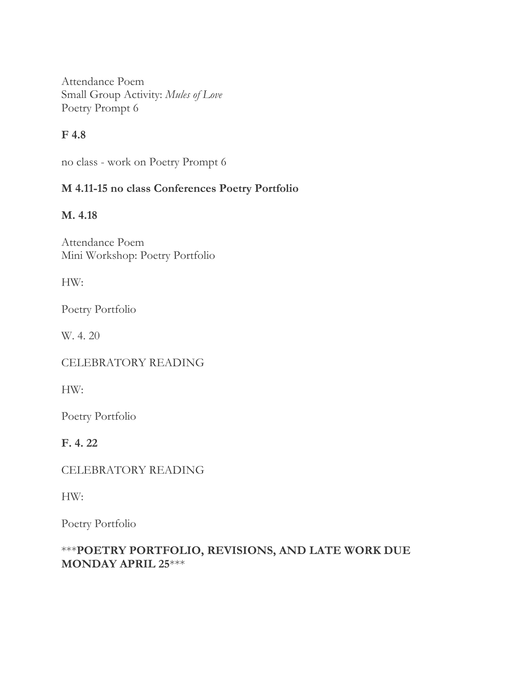Attendance Poem Small Group Activity: *Mules of Love* Poetry Prompt 6

# **F 4.8**

no class - work on Poetry Prompt 6

# **M 4.11-15 no class Conferences Poetry Portfolio**

### **M. 4.18**

Attendance Poem Mini Workshop: Poetry Portfolio

HW:

Poetry Portfolio

W. 4. 20

CELEBRATORY READING

HW:

Poetry Portfolio

**F. 4. 22**

CELEBRATORY READING

HW:

Poetry Portfolio

### \*\*\***POETRY PORTFOLIO, REVISIONS, AND LATE WORK DUE MONDAY APRIL 25**\*\*\*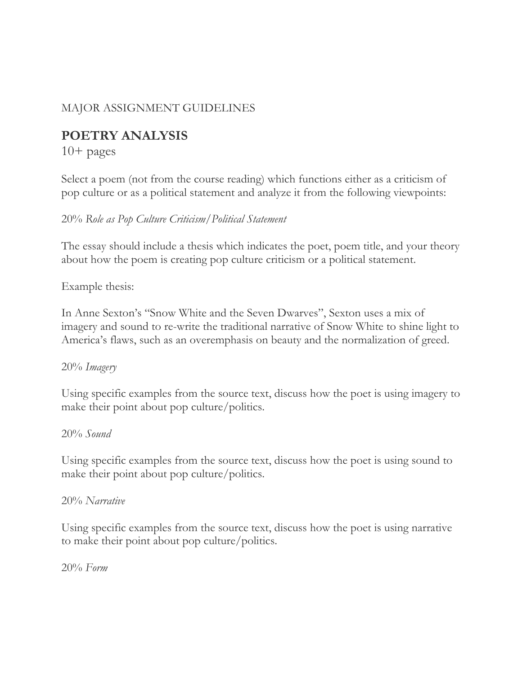# MAJOR ASSIGNMENT GUIDELINES

# **POETRY ANALYSIS**

 $10+$  pages

Select a poem (not from the course reading) which functions either as a criticism of pop culture or as a political statement and analyze it from the following viewpoints:

#### 20% *Role as Pop Culture Criticism/Political Statement*

The essay should include a thesis which indicates the poet, poem title, and your theory about how the poem is creating pop culture criticism or a political statement.

Example thesis:

In Anne Sexton's "Snow White and the Seven Dwarves", Sexton uses a mix of imagery and sound to re-write the traditional narrative of Snow White to shine light to America's flaws, such as an overemphasis on beauty and the normalization of greed.

#### 20% *Imagery*

Using specific examples from the source text, discuss how the poet is using imagery to make their point about pop culture/politics.

#### 20% *Sound*

Using specific examples from the source text, discuss how the poet is using sound to make their point about pop culture/politics.

#### 20% *Narrative*

Using specific examples from the source text, discuss how the poet is using narrative to make their point about pop culture/politics.

20% *Form*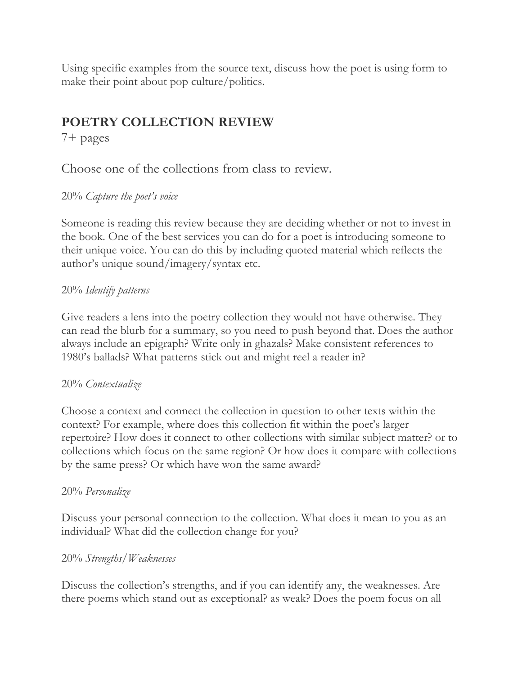Using specific examples from the source text, discuss how the poet is using form to make their point about pop culture/politics.

# **POETRY COLLECTION REVIEW**

7+ pages

Choose one of the collections from class to review.

# 20% *Capture the poet's voice*

Someone is reading this review because they are deciding whether or not to invest in the book. One of the best services you can do for a poet is introducing someone to their unique voice. You can do this by including quoted material which reflects the author's unique sound/imagery/syntax etc.

### 20% *Identify patterns*

Give readers a lens into the poetry collection they would not have otherwise. They can read the blurb for a summary, so you need to push beyond that. Does the author always include an epigraph? Write only in ghazals? Make consistent references to 1980's ballads? What patterns stick out and might reel a reader in?

#### 20% *Contextualize*

Choose a context and connect the collection in question to other texts within the context? For example, where does this collection fit within the poet's larger repertoire? How does it connect to other collections with similar subject matter? or to collections which focus on the same region? Or how does it compare with collections by the same press? Or which have won the same award?

# 20% *Personalize*

Discuss your personal connection to the collection. What does it mean to you as an individual? What did the collection change for you?

# 20% *Strengths/Weaknesses*

Discuss the collection's strengths, and if you can identify any, the weaknesses. Are there poems which stand out as exceptional? as weak? Does the poem focus on all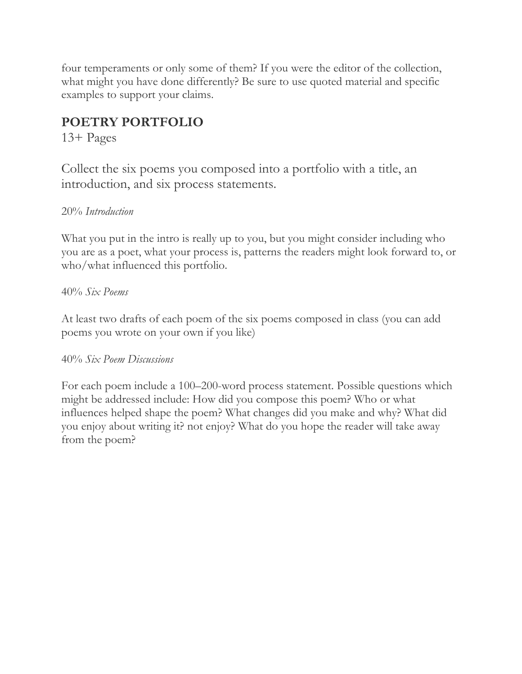four temperaments or only some of them? If you were the editor of the collection, what might you have done differently? Be sure to use quoted material and specific examples to support your claims.

# **POETRY PORTFOLIO**

13+ Pages

Collect the six poems you composed into a portfolio with a title, an introduction, and six process statements.

### 20% *Introduction*

What you put in the intro is really up to you, but you might consider including who you are as a poet, what your process is, patterns the readers might look forward to, or who/what influenced this portfolio.

### 40% *Six Poems*

At least two drafts of each poem of the six poems composed in class (you can add poems you wrote on your own if you like)

#### 40% *Six Poem Discussions*

For each poem include a 100–200-word process statement. Possible questions which might be addressed include: How did you compose this poem? Who or what influences helped shape the poem? What changes did you make and why? What did you enjoy about writing it? not enjoy? What do you hope the reader will take away from the poem?